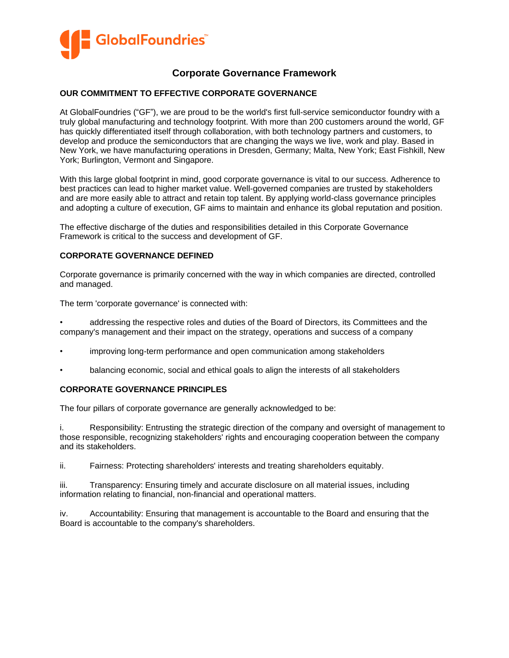

# **Corporate Governance Framework**

### **OUR COMMITMENT TO EFFECTIVE CORPORATE GOVERNANCE**

At GlobalFoundries ("GF"), we are proud to be the world's first full-service semiconductor foundry with a truly global manufacturing and technology footprint. With more than 200 customers around the world, GF has quickly differentiated itself through collaboration, with both technology partners and customers, to develop and produce the semiconductors that are changing the ways we live, work and play. Based in New York, we have manufacturing operations in Dresden, Germany; Malta, New York; East Fishkill, New York; Burlington, Vermont and Singapore.

With this large global footprint in mind, good corporate governance is vital to our success. Adherence to best practices can lead to higher market value. Well-governed companies are trusted by stakeholders and are more easily able to attract and retain top talent. By applying world-class governance principles and adopting a culture of execution, GF aims to maintain and enhance its global reputation and position.

The effective discharge of the duties and responsibilities detailed in this Corporate Governance Framework is critical to the success and development of GF.

### **CORPORATE GOVERNANCE DEFINED**

Corporate governance is primarily concerned with the way in which companies are directed, controlled and managed.

The term 'corporate governance' is connected with:

• addressing the respective roles and duties of the Board of Directors, its Committees and the company's management and their impact on the strategy, operations and success of a company

- improving long-term performance and open communication among stakeholders
- balancing economic, social and ethical goals to align the interests of all stakeholders

### **CORPORATE GOVERNANCE PRINCIPLES**

The four pillars of corporate governance are generally acknowledged to be:

i. Responsibility: Entrusting the strategic direction of the company and oversight of management to those responsible, recognizing stakeholders' rights and encouraging cooperation between the company and its stakeholders.

ii. Fairness: Protecting shareholders' interests and treating shareholders equitably.

iii. Transparency: Ensuring timely and accurate disclosure on all material issues, including information relating to financial, non-financial and operational matters.

iv. Accountability: Ensuring that management is accountable to the Board and ensuring that the Board is accountable to the company's shareholders.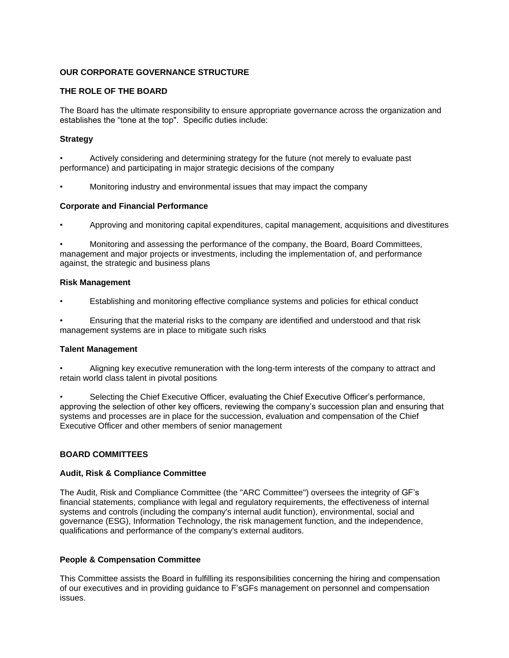### **OUR CORPORATE GOVERNANCE STRUCTURE**

### **THE ROLE OF THE BOARD**

The Board has the ultimate responsibility to ensure appropriate governance across the organization and establishes the "tone at the top". Specific duties include:

#### **Strategy**

• Actively considering and determining strategy for the future (not merely to evaluate past performance) and participating in major strategic decisions of the company

• Monitoring industry and environmental issues that may impact the company

#### **Corporate and Financial Performance**

• Approving and monitoring capital expenditures, capital management, acquisitions and divestitures

• Monitoring and assessing the performance of the company, the Board, Board Committees, management and major projects or investments, including the implementation of, and performance against, the strategic and business plans

#### **Risk Management**

• Establishing and monitoring effective compliance systems and policies for ethical conduct

• Ensuring that the material risks to the company are identified and understood and that risk management systems are in place to mitigate such risks

#### **Talent Management**

• Aligning key executive remuneration with the long-term interests of the company to attract and retain world class talent in pivotal positions

• Selecting the Chief Executive Officer, evaluating the Chief Executive Officer's performance, approving the selection of other key officers, reviewing the company's succession plan and ensuring that systems and processes are in place for the succession, evaluation and compensation of the Chief Executive Officer and other members of senior management

# **BOARD COMMITTEES**

#### **Audit, Risk & Compliance Committee**

The Audit, Risk and Compliance Committee (the "ARC Committee") oversees the integrity of GF's financial statements, compliance with legal and regulatory requirements, the effectiveness of internal systems and controls (including the company's internal audit function), environmental, social and governance (ESG), Information Technology, the risk management function, and the independence, qualifications and performance of the company's external auditors.

# **People & Compensation Committee**

This Committee assists the Board in fulfilling its responsibilities concerning the hiring and compensation of our executives and in providing guidance to F'sGFs management on personnel and compensation issues.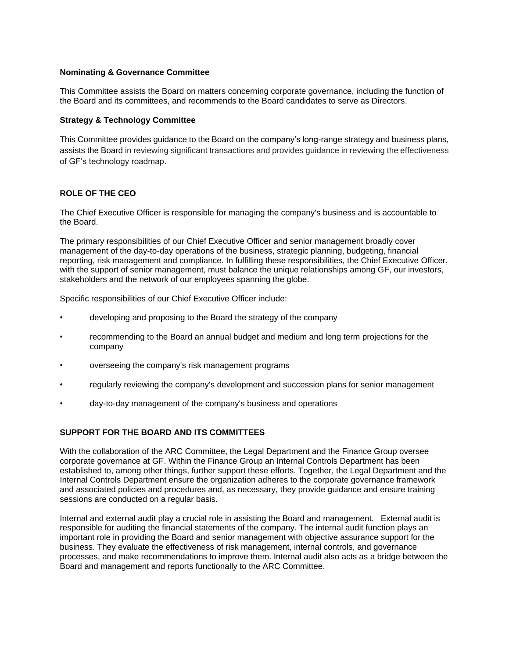#### **Nominating & Governance Committee**

This Committee assists the Board on matters concerning corporate governance, including the function of the Board and its committees, and recommends to the Board candidates to serve as Directors.

### **Strategy & Technology Committee**

This Committee provides guidance to the Board on the company's long-range strategy and business plans, assists the Board in reviewing significant transactions and provides guidance in reviewing the effectiveness of GF's technology roadmap.

# **ROLE OF THE CEO**

The Chief Executive Officer is responsible for managing the company's business and is accountable to the Board.

The primary responsibilities of our Chief Executive Officer and senior management broadly cover management of the day-to-day operations of the business, strategic planning, budgeting, financial reporting, risk management and compliance. In fulfilling these responsibilities, the Chief Executive Officer, with the support of senior management, must balance the unique relationships among GF, our investors, stakeholders and the network of our employees spanning the globe.

Specific responsibilities of our Chief Executive Officer include:

- developing and proposing to the Board the strategy of the company
- recommending to the Board an annual budget and medium and long term projections for the company
- overseeing the company's risk management programs
- regularly reviewing the company's development and succession plans for senior management
- day-to-day management of the company's business and operations

# **SUPPORT FOR THE BOARD AND ITS COMMITTEES**

With the collaboration of the ARC Committee, the Legal Department and the Finance Group oversee corporate governance at GF. Within the Finance Group an Internal Controls Department has been established to, among other things, further support these efforts. Together, the Legal Department and the Internal Controls Department ensure the organization adheres to the corporate governance framework and associated policies and procedures and, as necessary, they provide guidance and ensure training sessions are conducted on a regular basis.

Internal and external audit play a crucial role in assisting the Board and management. External audit is responsible for auditing the financial statements of the company. The internal audit function plays an important role in providing the Board and senior management with objective assurance support for the business. They evaluate the effectiveness of risk management, internal controls, and governance processes, and make recommendations to improve them. Internal audit also acts as a bridge between the Board and management and reports functionally to the ARC Committee.